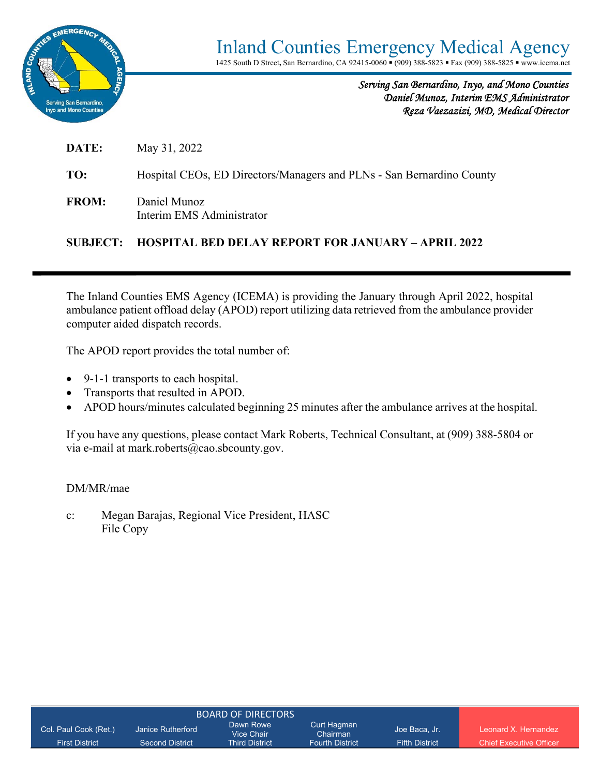

*Serving San Bernardino, Inyo, and Mono Counties Daniel Munoz, Interim EMS Administrator Reza Vaezazizi, MD, Medical Director* 

**DATE:** May 31, 2022

**TO:** Hospital CEOs, ED Directors/Managers and PLNs - San Bernardino County

**FROM:** Daniel Munoz Interim EMS Administrator

#### **SUBJECT: HOSPITAL BED DELAY REPORT FOR JANUARY – APRIL 2022**

The Inland Counties EMS Agency (ICEMA) is providing the January through April 2022, hospital ambulance patient offload delay (APOD) report utilizing data retrieved from the ambulance provider computer aided dispatch records.

The APOD report provides the total number of:

- 9-1-1 transports to each hospital.
- Transports that resulted in APOD.
- APOD hours/minutes calculated beginning 25 minutes after the ambulance arrives at the hospital.

If you have any questions, please contact Mark Roberts, Technical Consultant, at (909) 388-5804 or via e-mail at mark.roberts@cao.sbcounty.gov.

#### DM/MR/mae

c: Megan Barajas, Regional Vice President, HASC File Copy

| Col. Paul Cook (Ret.) | Janice Rutherford      | Dawn Rowe<br>Vice Chair | Curt Haqman<br>Chairman | Joe Baca, Jr.         | Leonard X Hernandez            |
|-----------------------|------------------------|-------------------------|-------------------------|-----------------------|--------------------------------|
| <b>First District</b> | <b>Second District</b> | <b>Third District</b>   | <b>Fourth District</b>  | <b>Fifth District</b> | <b>Chief Executive Officer</b> |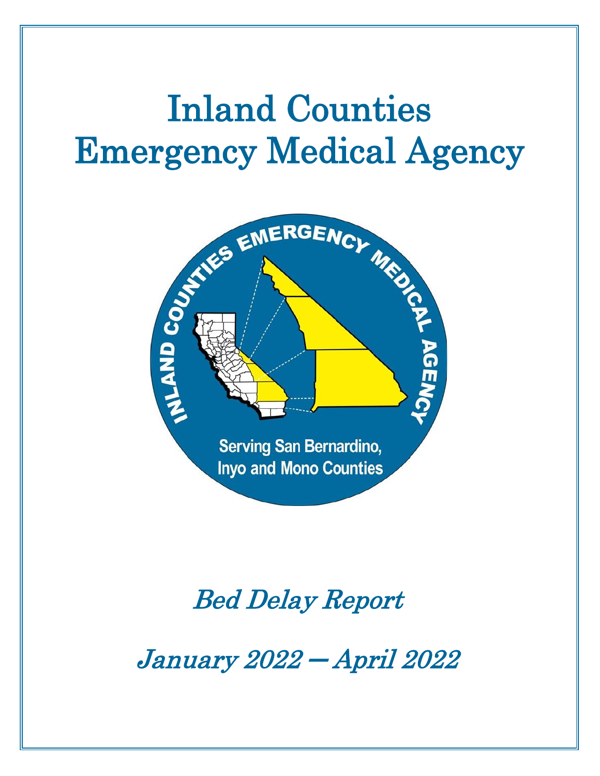# Inland Counties Emergency Medical Agency



## Bed Delay Report

January 2022 ─ April 2022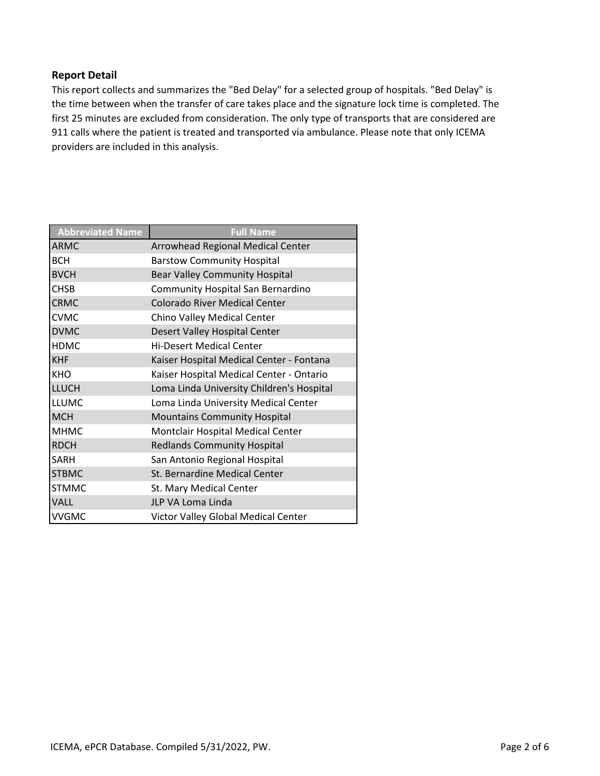#### **Report Detail**

This report collects and summarizes the "Bed Delay" for a selected group of hospitals. "Bed Delay" is the time between when the transfer of care takes place and the signature lock time is completed. The first 25 minutes are excluded from consideration. The only type of transports that are considered are 911 calls where the patient is treated and transported via ambulance. Please note that only ICEMA providers are included in this analysis.

| <b>Abbreviated Name</b> | <b>Full Name</b>                          |
|-------------------------|-------------------------------------------|
| <b>ARMC</b>             | Arrowhead Regional Medical Center         |
| <b>BCH</b>              | <b>Barstow Community Hospital</b>         |
| <b>BVCH</b>             | <b>Bear Valley Community Hospital</b>     |
| <b>CHSB</b>             | Community Hospital San Bernardino         |
| <b>CRMC</b>             | <b>Colorado River Medical Center</b>      |
| <b>CVMC</b>             | Chino Valley Medical Center               |
| <b>DVMC</b>             | Desert Valley Hospital Center             |
| <b>HDMC</b>             | <b>Hi-Desert Medical Center</b>           |
| <b>KHF</b>              | Kaiser Hospital Medical Center - Fontana  |
| <b>KHO</b>              | Kaiser Hospital Medical Center - Ontario  |
| <b>LLUCH</b>            | Loma Linda University Children's Hospital |
| <b>LLUMC</b>            | Loma Linda University Medical Center      |
| <b>MCH</b>              | <b>Mountains Community Hospital</b>       |
| <b>MHMC</b>             | Montclair Hospital Medical Center         |
| <b>RDCH</b>             | <b>Redlands Community Hospital</b>        |
| <b>SARH</b>             | San Antonio Regional Hospital             |
| <b>STBMC</b>            | St. Bernardine Medical Center             |
| <b>STMMC</b>            | St. Mary Medical Center                   |
| <b>VALL</b>             | JLP VA Loma Linda                         |
| <b>VVGMC</b>            | Victor Valley Global Medical Center       |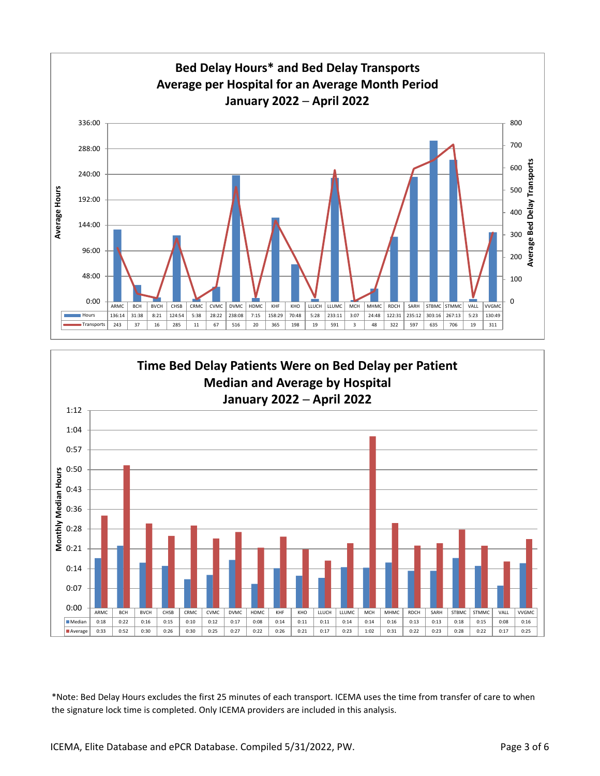

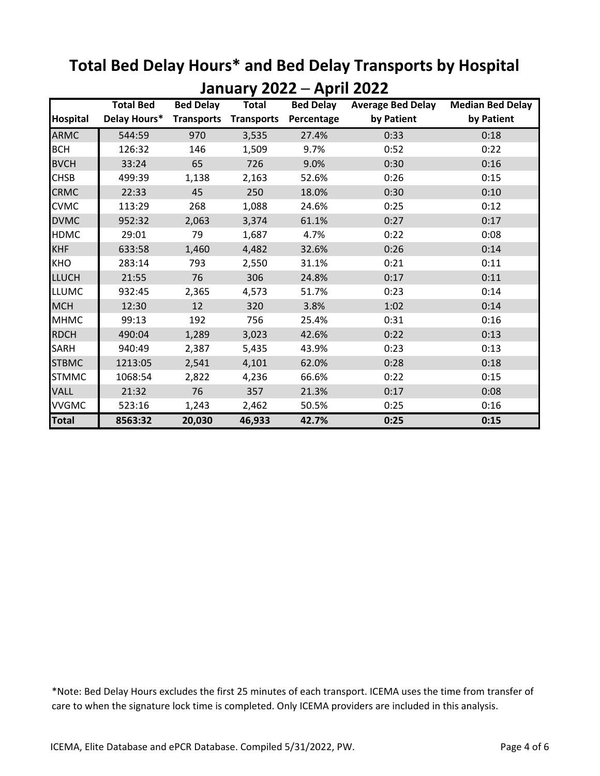|                 | JUITUUT Y<br>Apiil<br><b>Total Bed</b><br><b>Bed Delay</b><br><b>Bed Delay</b><br><b>Average Bed Delay</b><br><b>Median Bed Delay</b><br><b>Total</b> |                   |                   |            |            |            |  |  |
|-----------------|-------------------------------------------------------------------------------------------------------------------------------------------------------|-------------------|-------------------|------------|------------|------------|--|--|
| <b>Hospital</b> | Delay Hours*                                                                                                                                          | <b>Transports</b> | <b>Transports</b> | Percentage | by Patient | by Patient |  |  |
| <b>ARMC</b>     | 544:59                                                                                                                                                | 970               | 3,535             | 27.4%      | 0:33       | 0:18       |  |  |
| <b>BCH</b>      | 126:32                                                                                                                                                | 146               | 1,509             | 9.7%       | 0:52       | 0:22       |  |  |
| <b>BVCH</b>     | 33:24                                                                                                                                                 | 65                | 726               | 9.0%       | 0:30       | 0:16       |  |  |
| <b>CHSB</b>     | 499:39                                                                                                                                                | 1,138             | 2,163             | 52.6%      | 0:26       | 0:15       |  |  |
| <b>CRMC</b>     | 22:33                                                                                                                                                 | 45                | 250               | 18.0%      | 0:30       | 0:10       |  |  |
| <b>CVMC</b>     | 113:29                                                                                                                                                | 268               | 1,088             | 24.6%      | 0:25       | 0:12       |  |  |
| <b>DVMC</b>     | 952:32                                                                                                                                                | 2,063             | 3,374             | 61.1%      | 0:27       | 0:17       |  |  |
| <b>HDMC</b>     | 29:01                                                                                                                                                 | 79                | 1,687             | 4.7%       | 0:22       | 0:08       |  |  |
| <b>KHF</b>      | 633:58                                                                                                                                                | 1,460             | 4,482             | 32.6%      | 0:26       | 0:14       |  |  |
| <b>KHO</b>      | 283:14                                                                                                                                                | 793               | 2,550             | 31.1%      | 0:21       | 0:11       |  |  |
| <b>LLUCH</b>    | 21:55                                                                                                                                                 | 76                | 306               | 24.8%      | 0:17       | 0:11       |  |  |
| <b>LLUMC</b>    | 932:45                                                                                                                                                | 2,365             | 4,573             | 51.7%      | 0:23       | 0:14       |  |  |
| <b>MCH</b>      | 12:30                                                                                                                                                 | 12                | 320               | 3.8%       | 1:02       | 0:14       |  |  |
| <b>MHMC</b>     | 99:13                                                                                                                                                 | 192               | 756               | 25.4%      | 0:31       | 0:16       |  |  |
| <b>RDCH</b>     | 490:04                                                                                                                                                | 1,289             | 3,023             | 42.6%      | 0:22       | 0:13       |  |  |
| <b>SARH</b>     | 940:49                                                                                                                                                | 2,387             | 5,435             | 43.9%      | 0:23       | 0:13       |  |  |
| <b>STBMC</b>    | 1213:05                                                                                                                                               | 2,541             | 4,101             | 62.0%      | 0:28       | 0:18       |  |  |
| <b>STMMC</b>    | 1068:54                                                                                                                                               | 2,822             | 4,236             | 66.6%      | 0:22       | 0:15       |  |  |
| <b>VALL</b>     | 21:32                                                                                                                                                 | 76                | 357               | 21.3%      | 0:17       | 0:08       |  |  |
| <b>VVGMC</b>    | 523:16                                                                                                                                                | 1,243             | 2,462             | 50.5%      | 0:25       | 0:16       |  |  |
| <b>Total</b>    | 8563:32                                                                                                                                               | 20,030            | 46,933            | 42.7%      | 0:25       | 0:15       |  |  |

### **Total Bed Delay Hours\* and Bed Delay Transports by Hospital January 2022 ─ April 2022**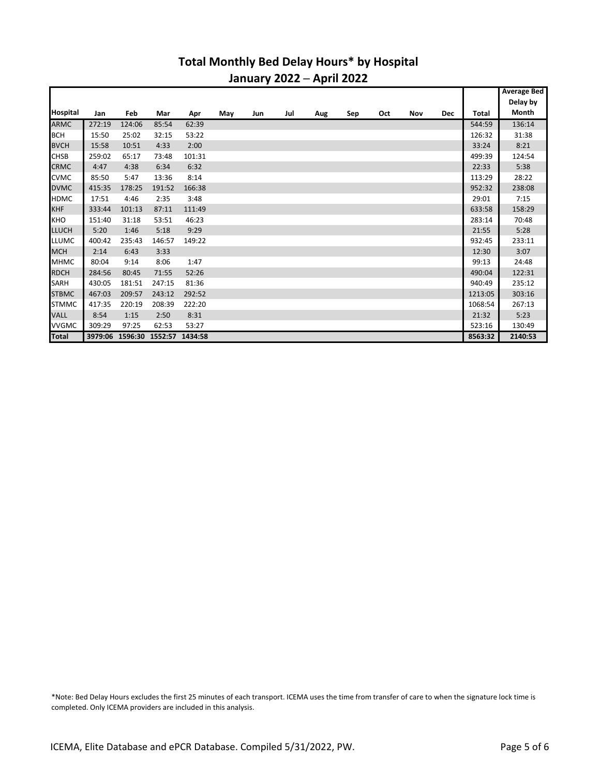#### **Total Monthly Bed Delay Hours\* by Hospital January 2022 ─ April 2022**

|                 |        |                                 |        |        |     |     |     |     |     |     |     |            |         | <b>Average Bed</b> |
|-----------------|--------|---------------------------------|--------|--------|-----|-----|-----|-----|-----|-----|-----|------------|---------|--------------------|
|                 |        |                                 |        |        |     |     |     |     |     |     |     |            |         | Delay by           |
| <b>Hospital</b> | Jan    | Feb                             | Mar    | Apr    | May | Jun | Jul | Aug | Sep | Oct | Nov | <b>Dec</b> | Total   | Month              |
| <b>ARMC</b>     | 272:19 | 124:06                          | 85:54  | 62:39  |     |     |     |     |     |     |     |            | 544:59  | 136:14             |
| <b>BCH</b>      | 15:50  | 25:02                           | 32:15  | 53:22  |     |     |     |     |     |     |     |            | 126:32  | 31:38              |
| <b>BVCH</b>     | 15:58  | 10:51                           | 4:33   | 2:00   |     |     |     |     |     |     |     |            | 33:24   | 8:21               |
| <b>CHSB</b>     | 259:02 | 65:17                           | 73:48  | 101:31 |     |     |     |     |     |     |     |            | 499:39  | 124:54             |
| <b>CRMC</b>     | 4:47   | 4:38                            | 6:34   | 6:32   |     |     |     |     |     |     |     |            | 22:33   | 5:38               |
| <b>CVMC</b>     | 85:50  | 5:47                            | 13:36  | 8:14   |     |     |     |     |     |     |     |            | 113:29  | 28:22              |
| <b>DVMC</b>     | 415:35 | 178:25                          | 191:52 | 166:38 |     |     |     |     |     |     |     |            | 952:32  | 238:08             |
| <b>HDMC</b>     | 17:51  | 4:46                            | 2:35   | 3:48   |     |     |     |     |     |     |     |            | 29:01   | 7:15               |
| <b>KHF</b>      | 333:44 | 101:13                          | 87:11  | 111:49 |     |     |     |     |     |     |     |            | 633:58  | 158:29             |
| <b>KHO</b>      | 151:40 | 31:18                           | 53:51  | 46:23  |     |     |     |     |     |     |     |            | 283:14  | 70:48              |
| <b>LLUCH</b>    | 5:20   | 1:46                            | 5:18   | 9:29   |     |     |     |     |     |     |     |            | 21:55   | 5:28               |
| <b>LLUMC</b>    | 400:42 | 235:43                          | 146:57 | 149:22 |     |     |     |     |     |     |     |            | 932:45  | 233:11             |
| <b>MCH</b>      | 2:14   | 6:43                            | 3:33   |        |     |     |     |     |     |     |     |            | 12:30   | 3:07               |
| <b>MHMC</b>     | 80:04  | 9:14                            | 8:06   | 1:47   |     |     |     |     |     |     |     |            | 99:13   | 24:48              |
| <b>RDCH</b>     | 284:56 | 80:45                           | 71:55  | 52:26  |     |     |     |     |     |     |     |            | 490:04  | 122:31             |
| SARH            | 430:05 | 181:51                          | 247:15 | 81:36  |     |     |     |     |     |     |     |            | 940:49  | 235:12             |
| <b>STBMC</b>    | 467:03 | 209:57                          | 243:12 | 292:52 |     |     |     |     |     |     |     |            | 1213:05 | 303:16             |
| <b>STMMC</b>    | 417:35 | 220:19                          | 208:39 | 222:20 |     |     |     |     |     |     |     |            | 1068:54 | 267:13             |
| <b>VALL</b>     | 8:54   | 1:15                            | 2:50   | 8:31   |     |     |     |     |     |     |     |            | 21:32   | 5:23               |
| <b>VVGMC</b>    | 309:29 | 97:25                           | 62:53  | 53:27  |     |     |     |     |     |     |     |            | 523:16  | 130:49             |
| <b>Total</b>    |        | 3979:06 1596:30 1552:57 1434:58 |        |        |     |     |     |     |     |     |     |            | 8563:32 | 2140:53            |